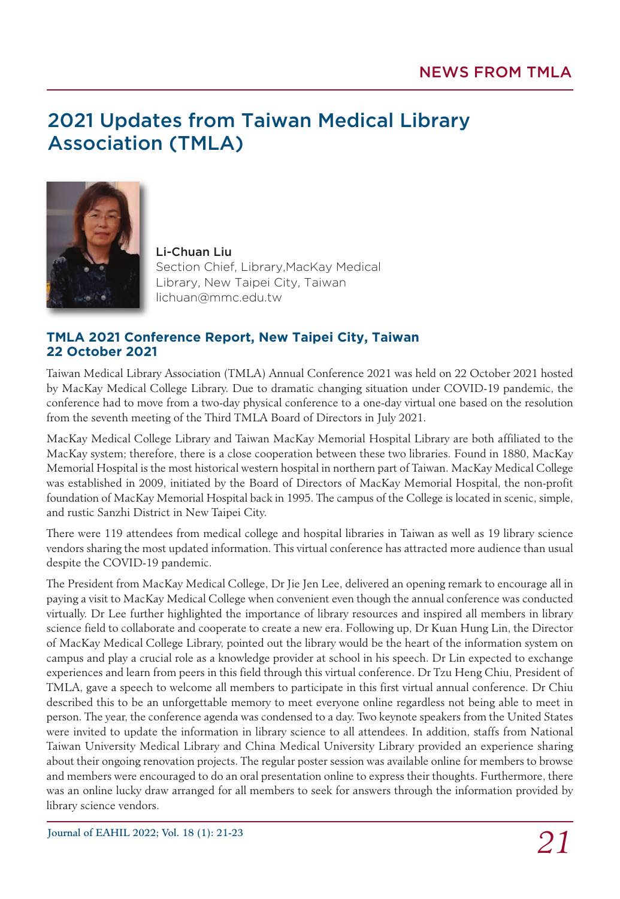## 2021 Updates from Taiwan Medical Library Association (TMLA)



Li-Chuan Liu Section Chief, Library,MacKay Medical Library, New Taipei City, Taiwan lichuan@mmc.edu.tw

## **TMLA 2021 Conference Report, New Taipei City, Taiwan 22 October 2021**

Taiwan Medical Library Association (TMLA) Annual Conference 2021 was held on 22 October 2021 hosted by MacKay Medical College Library. Due to dramatic changing situation under COVID-19 pandemic, the conference had to move from a two-day physical conference to a one-day virtual one based on the resolution from the seventh meeting of the Third TMLA Board of Directors in July 2021.

MacKay Medical College Library and Taiwan MacKay Memorial Hospital Library are both affiliated to the MacKay system; therefore, there is a close cooperation between these two libraries. Found in 1880, MacKay Memorial Hospital is the most historical western hospital in northern part of Taiwan. MacKay Medical College was established in 2009, initiated by the Board of Directors of MacKay Memorial Hospital, the non-profit foundation of MacKay Memorial Hospital back in 1995. The campus of the College is located in scenic, simple, and rustic Sanzhi District in New Taipei City.

There were 119 attendees from medical college and hospital libraries in Taiwan as well as 19 library science vendors sharing the most updated information. This virtual conference has attracted more audience than usual despite the COVID-19 pandemic.

The President from MacKay Medical College, Dr Jie Jen Lee, delivered an opening remark to encourage all in paying a visit to MacKay Medical College when convenient even though the annual conference was conducted virtually. Dr Lee further highlighted the importance of library resources and inspired all members in library science field to collaborate and cooperate to create a new era. Following up, Dr Kuan Hung Lin, the Director of MacKay Medical College Library, pointed out the library would be the heart of the information system on campus and play a crucial role as a knowledge provider at school in his speech. Dr Lin expected to exchange experiences and learn from peers in this field through this virtual conference. Dr Tzu Heng Chiu, President of TMLA, gave a speech to welcome all members to participate in this first virtual annual conference. Dr Chiu described this to be an unforgettable memory to meet everyone online regardless not being able to meet in person. The year, the conference agenda was condensed to a day. Two keynote speakers from the United States were invited to update the information in library science to all attendees. In addition, staffs from National Taiwan University Medical Library and China Medical University Library provided an experience sharing about their ongoing renovation projects. The regular poster session was available online for members to browse and members were encouraged to do an oral presentation online to express their thoughts. Furthermore, there was an online lucky draw arranged for all members to seek for answers through the information provided by library science vendors.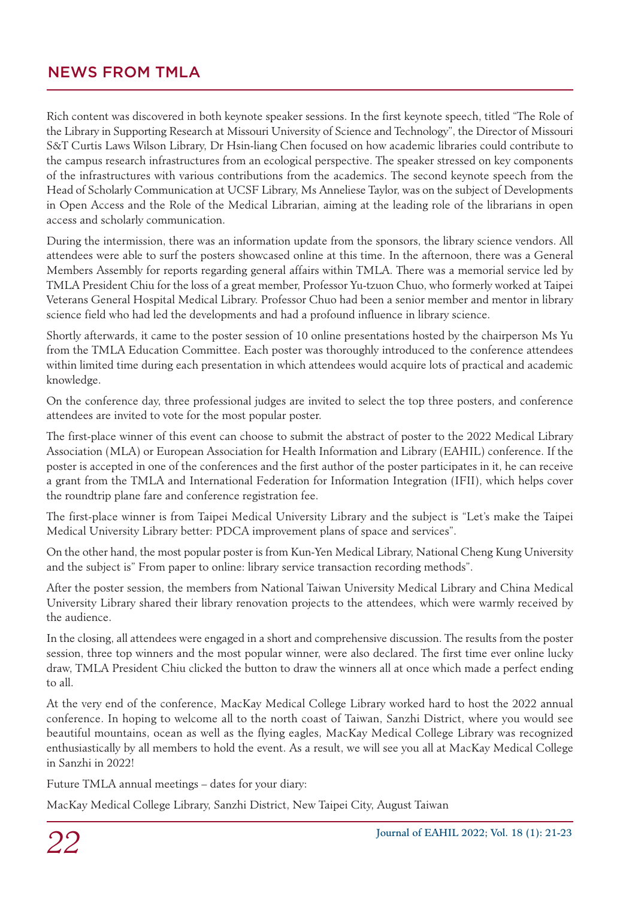Rich content was discovered in both keynote speaker sessions. In the first keynote speech, titled "The Role of the Library in Supporting Research at Missouri University of Science and Technology", the Director of Missouri S&T Curtis Laws Wilson Library, Dr Hsin-liang Chen focused on how academic libraries could contribute to the campus research infrastructures from an ecological perspective. The speaker stressed on key components of the infrastructures with various contributions from the academics. The second keynote speech from the Head of Scholarly Communication at UCSF Library, Ms Anneliese Taylor, was on the subject of Developments in Open Access and the Role of the Medical Librarian, aiming at the leading role of the librarians in open access and scholarly communication.

During the intermission, there was an information update from the sponsors, the library science vendors. All attendees were able to surf the posters showcased online at this time. In the afternoon, there was a General Members Assembly for reports regarding general affairs within TMLA. There was a memorial service led by TMLA President Chiu for the loss of a great member, Professor Yu-tzuon Chuo, who formerly worked at Taipei Veterans General Hospital Medical Library. Professor Chuo had been a senior member and mentor in library science field who had led the developments and had a profound influence in library science.

Shortly afterwards, it came to the poster session of 10 online presentations hosted by the chairperson Ms Yu from the TMLA Education Committee. Each poster was thoroughly introduced to the conference attendees within limited time during each presentation in which attendees would acquire lots of practical and academic knowledge.

On the conference day, three professional judges are invited to select the top three posters, and conference attendees are invited to vote for the most popular poster.

The first-place winner of this event can choose to submit the abstract of poster to the 2022 Medical Library Association (MLA) or European Association for Health Information and Library (EAHIL) conference. If the poster is accepted in one of the conferences and the first author of the poster participates in it, he can receive a grant from the TMLA and International Federation for Information Integration (IFII), which helps cover the roundtrip plane fare and conference registration fee.

The first-place winner is from Taipei Medical University Library and the subject is "Let's make the Taipei Medical University Library better: PDCA improvement plans of space and services".

On the other hand, the most popular poster is from Kun-Yen Medical Library, National Cheng Kung University and the subject is" From paper to online: library service transaction recording methods".

After the poster session, the members from National Taiwan University Medical Library and China Medical University Library shared their library renovation projects to the attendees, which were warmly received by the audience.

In the closing, all attendees were engaged in a short and comprehensive discussion. The results from the poster session, three top winners and the most popular winner, were also declared. The first time ever online lucky draw, TMLA President Chiu clicked the button to draw the winners all at once which made a perfect ending to all.

At the very end of the conference, MacKay Medical College Library worked hard to host the 2022 annual conference. In hoping to welcome all to the north coast of Taiwan, Sanzhi District, where you would see beautiful mountains, ocean as well as the flying eagles, MacKay Medical College Library was recognized enthusiastically by all members to hold the event. As a result, we will see you all at MacKay Medical College in Sanzhi in 2022!

Future TMLA annual meetings – dates for your diary:

MacKay Medical College Library, Sanzhi District, New Taipei City, August Taiwan